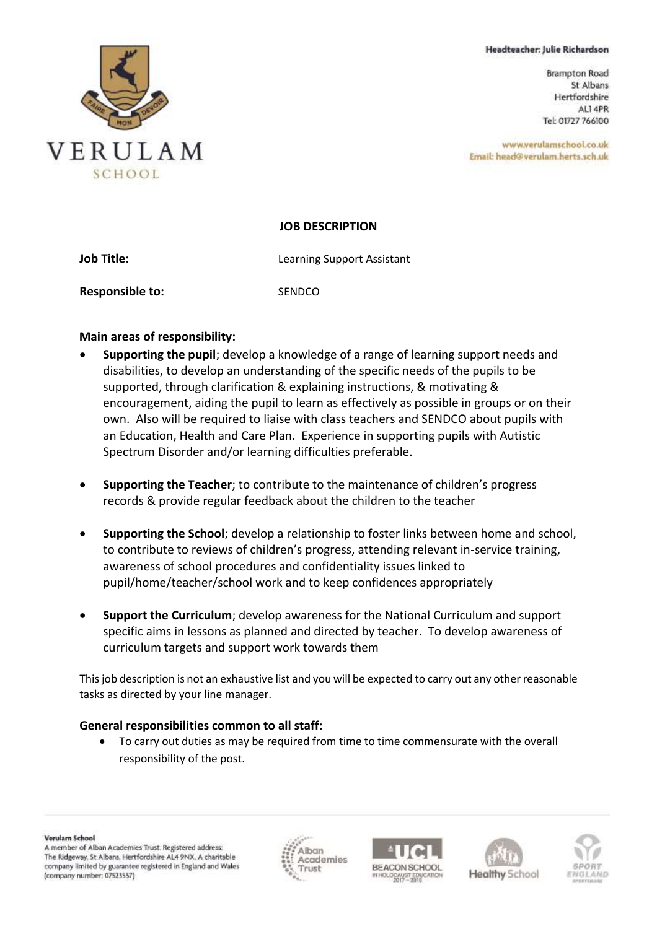#### Headteacher: Julie Richardson

**Brampton Road** St Albans Hertfordshire ALI 4PR Tel: 01727 766100

www.verulamschool.co.uk Email: head@verulam.herts.sch.uk

#### **JOB DESCRIPTION**

**Job Title:** Learning Support Assistant **Responsible to:** SENDCO

### **Main areas of responsibility:**

- **Supporting the pupil**; develop a knowledge of a range of learning support needs and disabilities, to develop an understanding of the specific needs of the pupils to be supported, through clarification & explaining instructions, & motivating & encouragement, aiding the pupil to learn as effectively as possible in groups or on their own. Also will be required to liaise with class teachers and SENDCO about pupils with an Education, Health and Care Plan. Experience in supporting pupils with Autistic Spectrum Disorder and/or learning difficulties preferable.
- **Supporting the Teacher**; to contribute to the maintenance of children's progress records & provide regular feedback about the children to the teacher
- **Supporting the School**; develop a relationship to foster links between home and school, to contribute to reviews of children's progress, attending relevant in-service training, awareness of school procedures and confidentiality issues linked to pupil/home/teacher/school work and to keep confidences appropriately
- **Support the Curriculum**; develop awareness for the National Curriculum and support specific aims in lessons as planned and directed by teacher. To develop awareness of curriculum targets and support work towards them

This job description is not an exhaustive list and you will be expected to carry out any other reasonable tasks as directed by your line manager.

## **General responsibilities common to all staff:**

• To carry out duties as may be required from time to time commensurate with the overall responsibility of the post.